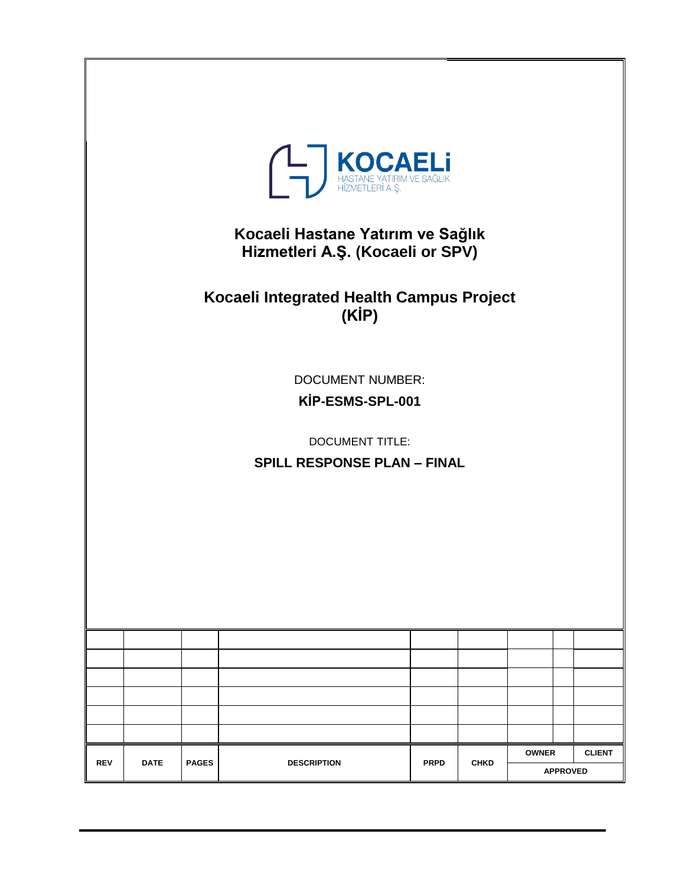|            |             |              | A <b>MOCAELI</b><br>HASTANE YATIRIM VE SAĞLIK<br>HİZMETLERİ A.Ş.<br>Kocaeli Hastane Yatırım ve Sağlık<br>Hizmetleri A.Ş. (Kocaeli or SPV)<br>Kocaeli Integrated Health Campus Project<br>(KİP)<br><b>DOCUMENT NUMBER:</b><br>KİP-ESMS-SPL-001<br><b>DOCUMENT TITLE:</b><br><b>SPILL RESPONSE PLAN - FINAL</b> |             |             |              |               |
|------------|-------------|--------------|---------------------------------------------------------------------------------------------------------------------------------------------------------------------------------------------------------------------------------------------------------------------------------------------------------------|-------------|-------------|--------------|---------------|
|            |             |              |                                                                                                                                                                                                                                                                                                               |             |             |              |               |
|            |             |              |                                                                                                                                                                                                                                                                                                               |             |             |              |               |
|            |             |              |                                                                                                                                                                                                                                                                                                               |             |             |              |               |
|            |             |              |                                                                                                                                                                                                                                                                                                               |             |             |              |               |
|            |             |              |                                                                                                                                                                                                                                                                                                               |             |             |              |               |
| <b>REV</b> | <b>DATE</b> | <b>PAGES</b> | <b>DESCRIPTION</b>                                                                                                                                                                                                                                                                                            | <b>PRPD</b> | <b>CHKD</b> | <b>OWNER</b> | <b>CLIENT</b> |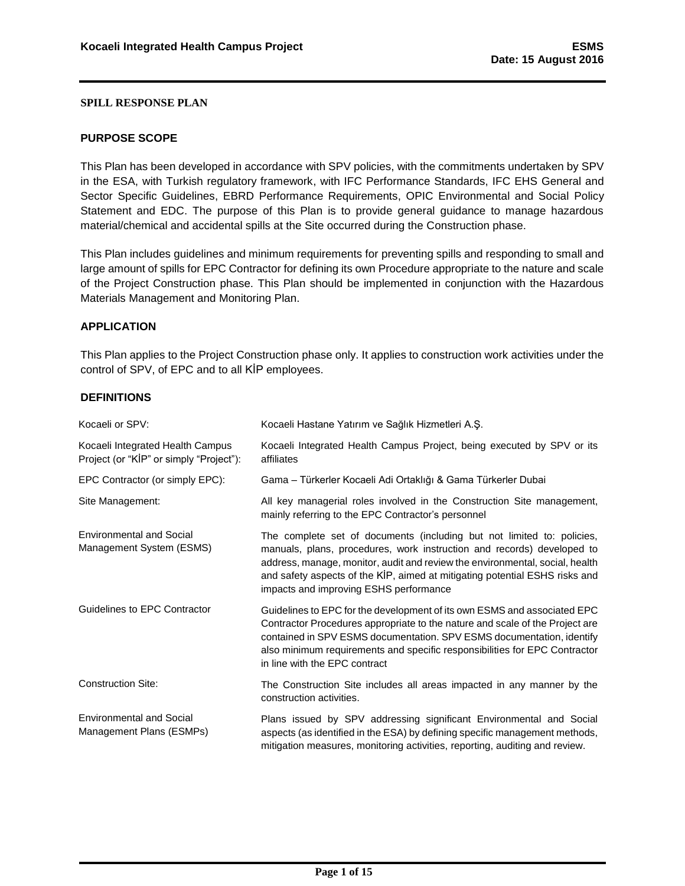#### <span id="page-1-0"></span>**PURPOSE SCOPE**

This Plan has been developed in accordance with SPV policies, with the commitments undertaken by SPV in the ESA, with Turkish regulatory framework, with IFC Performance Standards, IFC EHS General and Sector Specific Guidelines, EBRD Performance Requirements, OPIC Environmental and Social Policy Statement and EDC. The purpose of this Plan is to provide general guidance to manage hazardous material/chemical and accidental spills at the Site occurred during the Construction phase.

This Plan includes guidelines and minimum requirements for preventing spills and responding to small and large amount of spills for EPC Contractor for defining its own Procedure appropriate to the nature and scale of the Project Construction phase. This Plan should be implemented in conjunction with the Hazardous Materials Management and Monitoring Plan.

### <span id="page-1-1"></span>**APPLICATION**

This Plan applies to the Project Construction phase only. It applies to construction work activities under the control of SPV, of EPC and to all KİP employees.

#### <span id="page-1-2"></span>**DEFINITIONS**

| Kocaeli or SPV:                                                             | Kocaeli Hastane Yatırım ve Sağlık Hizmetleri A.Ş.                                                                                                                                                                                                                                                                                                         |
|-----------------------------------------------------------------------------|-----------------------------------------------------------------------------------------------------------------------------------------------------------------------------------------------------------------------------------------------------------------------------------------------------------------------------------------------------------|
| Kocaeli Integrated Health Campus<br>Project (or "KIP" or simply "Project"): | Kocaeli Integrated Health Campus Project, being executed by SPV or its<br>affiliates                                                                                                                                                                                                                                                                      |
| EPC Contractor (or simply EPC):                                             | Gama - Türkerler Kocaeli Adi Ortaklığı & Gama Türkerler Dubai                                                                                                                                                                                                                                                                                             |
| Site Management:                                                            | All key managerial roles involved in the Construction Site management,<br>mainly referring to the EPC Contractor's personnel                                                                                                                                                                                                                              |
| <b>Environmental and Social</b><br>Management System (ESMS)                 | The complete set of documents (including but not limited to: policies,<br>manuals, plans, procedures, work instruction and records) developed to<br>address, manage, monitor, audit and review the environmental, social, health<br>and safety aspects of the KİP, aimed at mitigating potential ESHS risks and<br>impacts and improving ESHS performance |
| Guidelines to EPC Contractor                                                | Guidelines to EPC for the development of its own ESMS and associated EPC<br>Contractor Procedures appropriate to the nature and scale of the Project are<br>contained in SPV ESMS documentation. SPV ESMS documentation, identify<br>also minimum requirements and specific responsibilities for EPC Contractor<br>in line with the EPC contract          |
| <b>Construction Site:</b>                                                   | The Construction Site includes all areas impacted in any manner by the<br>construction activities.                                                                                                                                                                                                                                                        |
| <b>Environmental and Social</b><br>Management Plans (ESMPs)                 | Plans issued by SPV addressing significant Environmental and Social<br>aspects (as identified in the ESA) by defining specific management methods,<br>mitigation measures, monitoring activities, reporting, auditing and review.                                                                                                                         |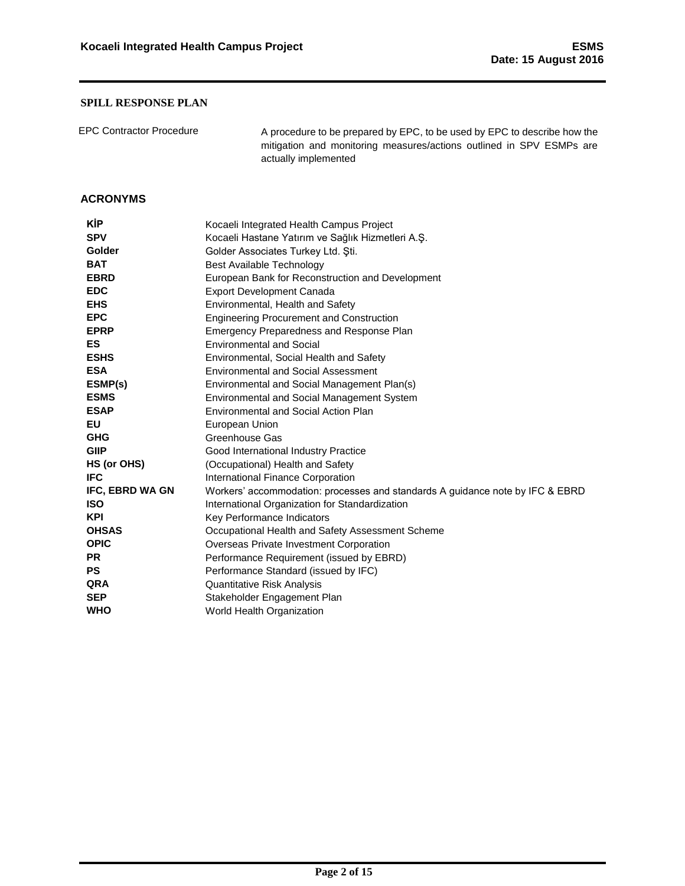EPC Contractor Procedure A procedure to be prepared by EPC, to be used by EPC to describe how the mitigation and monitoring measures/actions outlined in SPV ESMPs are actually implemented

### <span id="page-2-0"></span>**ACRONYMS**

| <b>KIP</b>             | Kocaeli Integrated Health Campus Project                                      |
|------------------------|-------------------------------------------------------------------------------|
| <b>SPV</b>             | Kocaeli Hastane Yatırım ve Sağlık Hizmetleri A.Ş.                             |
| Golder                 | Golder Associates Turkey Ltd. Sti.                                            |
| <b>BAT</b>             | Best Available Technology                                                     |
| <b>EBRD</b>            | European Bank for Reconstruction and Development                              |
| <b>EDC</b>             | <b>Export Development Canada</b>                                              |
| <b>EHS</b>             | Environmental, Health and Safety                                              |
| <b>EPC</b>             | <b>Engineering Procurement and Construction</b>                               |
| <b>EPRP</b>            | Emergency Preparedness and Response Plan                                      |
| ES                     | <b>Environmental and Social</b>                                               |
| <b>ESHS</b>            | Environmental, Social Health and Safety                                       |
| <b>ESA</b>             | <b>Environmental and Social Assessment</b>                                    |
| ESMP(s)                | Environmental and Social Management Plan(s)                                   |
| <b>ESMS</b>            | Environmental and Social Management System                                    |
| <b>ESAP</b>            | Environmental and Social Action Plan                                          |
| ΕU                     | European Union                                                                |
| <b>GHG</b>             | Greenhouse Gas                                                                |
| <b>GIIP</b>            | Good International Industry Practice                                          |
| HS (or OHS)            | (Occupational) Health and Safety                                              |
| <b>IFC</b>             | International Finance Corporation                                             |
| <b>IFC, EBRD WA GN</b> | Workers' accommodation: processes and standards A guidance note by IFC & EBRD |
| <b>ISO</b>             | International Organization for Standardization                                |
| <b>KPI</b>             | Key Performance Indicators                                                    |
| <b>OHSAS</b>           | Occupational Health and Safety Assessment Scheme                              |
| <b>OPIC</b>            | Overseas Private Investment Corporation                                       |
| <b>PR</b>              | Performance Requirement (issued by EBRD)                                      |
| <b>PS</b>              | Performance Standard (issued by IFC)                                          |
| QRA                    | <b>Quantitative Risk Analysis</b>                                             |
| <b>SEP</b>             | Stakeholder Engagement Plan                                                   |
| <b>WHO</b>             | World Health Organization                                                     |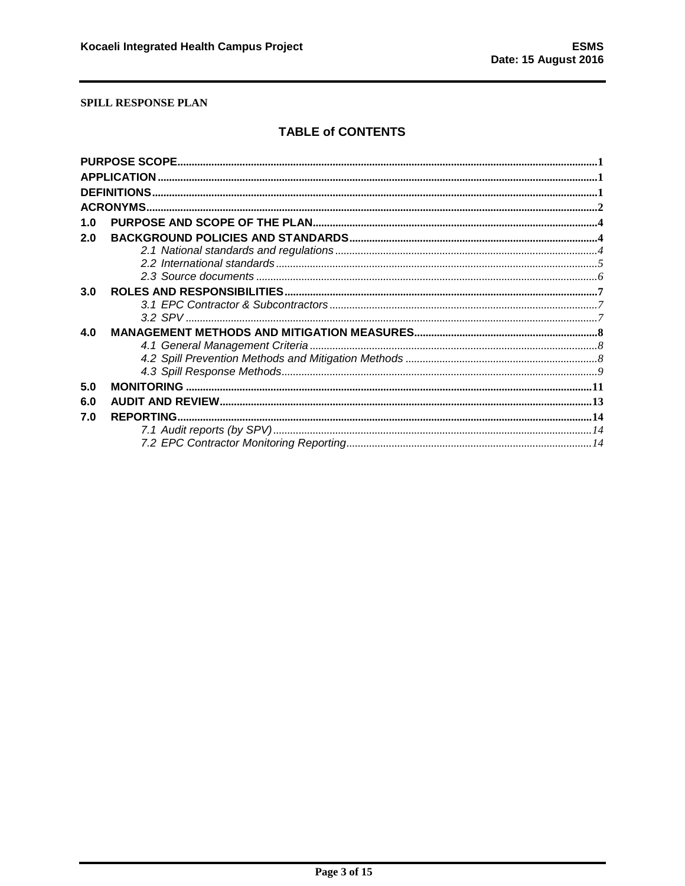# **TABLE of CONTENTS**

| 1.0 |  |  |  |  |  |
|-----|--|--|--|--|--|
| 2.0 |  |  |  |  |  |
|     |  |  |  |  |  |
|     |  |  |  |  |  |
|     |  |  |  |  |  |
| 3.0 |  |  |  |  |  |
|     |  |  |  |  |  |
|     |  |  |  |  |  |
| 4.0 |  |  |  |  |  |
|     |  |  |  |  |  |
|     |  |  |  |  |  |
|     |  |  |  |  |  |
| 5.0 |  |  |  |  |  |
| 6.0 |  |  |  |  |  |
| 7.0 |  |  |  |  |  |
|     |  |  |  |  |  |
|     |  |  |  |  |  |
|     |  |  |  |  |  |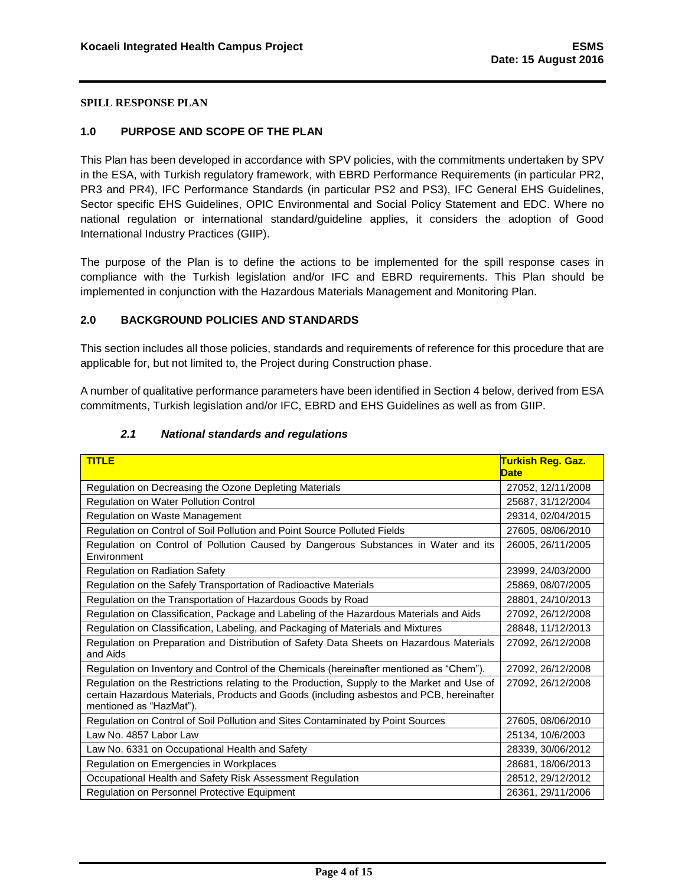### <span id="page-4-0"></span>**1.0 PURPOSE AND SCOPE OF THE PLAN**

This Plan has been developed in accordance with SPV policies, with the commitments undertaken by SPV in the ESA, with Turkish regulatory framework, with EBRD Performance Requirements (in particular PR2, PR3 and PR4), IFC Performance Standards (in particular PS2 and PS3), IFC General EHS Guidelines, Sector specific EHS Guidelines, OPIC Environmental and Social Policy Statement and EDC. Where no national regulation or international standard/guideline applies, it considers the adoption of Good International Industry Practices (GIIP).

The purpose of the Plan is to define the actions to be implemented for the spill response cases in compliance with the Turkish legislation and/or IFC and EBRD requirements. This Plan should be implemented in conjunction with the Hazardous Materials Management and Monitoring Plan.

### <span id="page-4-1"></span>**2.0 BACKGROUND POLICIES AND STANDARDS**

This section includes all those policies, standards and requirements of reference for this procedure that are applicable for, but not limited to, the Project during Construction phase.

A number of qualitative performance parameters have been identified in Section 4 below, derived from ESA commitments, Turkish legislation and/or IFC, EBRD and EHS Guidelines as well as from GIIP.

<span id="page-4-2"></span>

| <b>TITLE</b>                                                                                                                                                                                                      | <mark>Turkish Req. Gaz.</mark><br><b>Date</b> |
|-------------------------------------------------------------------------------------------------------------------------------------------------------------------------------------------------------------------|-----------------------------------------------|
| Regulation on Decreasing the Ozone Depleting Materials                                                                                                                                                            | 27052, 12/11/2008                             |
| <b>Regulation on Water Pollution Control</b>                                                                                                                                                                      | 25687, 31/12/2004                             |
| Regulation on Waste Management                                                                                                                                                                                    | 29314, 02/04/2015                             |
| Regulation on Control of Soil Pollution and Point Source Polluted Fields                                                                                                                                          | 27605, 08/06/2010                             |
| Regulation on Control of Pollution Caused by Dangerous Substances in Water and its<br>Environment                                                                                                                 | 26005, 26/11/2005                             |
| Regulation on Radiation Safety                                                                                                                                                                                    | 23999, 24/03/2000                             |
| Regulation on the Safely Transportation of Radioactive Materials                                                                                                                                                  | 25869, 08/07/2005                             |
| Regulation on the Transportation of Hazardous Goods by Road                                                                                                                                                       | 28801, 24/10/2013                             |
| Regulation on Classification, Package and Labeling of the Hazardous Materials and Aids                                                                                                                            | 27092, 26/12/2008                             |
| Regulation on Classification, Labeling, and Packaging of Materials and Mixtures                                                                                                                                   | 28848, 11/12/2013                             |
| Regulation on Preparation and Distribution of Safety Data Sheets on Hazardous Materials<br>and Aids                                                                                                               | 27092, 26/12/2008                             |
| Regulation on Inventory and Control of the Chemicals (hereinafter mentioned as "Chem").                                                                                                                           | 27092.26/12/2008                              |
| Regulation on the Restrictions relating to the Production, Supply to the Market and Use of<br>certain Hazardous Materials, Products and Goods (including asbestos and PCB, hereinafter<br>mentioned as "HazMat"). | 27092, 26/12/2008                             |
| Regulation on Control of Soil Pollution and Sites Contaminated by Point Sources                                                                                                                                   | 27605, 08/06/2010                             |
| Law No. 4857 Labor Law                                                                                                                                                                                            | 25134, 10/6/2003                              |
| Law No. 6331 on Occupational Health and Safety                                                                                                                                                                    | 28339, 30/06/2012                             |
| Regulation on Emergencies in Workplaces                                                                                                                                                                           | 28681, 18/06/2013                             |
| Occupational Health and Safety Risk Assessment Regulation                                                                                                                                                         | 28512, 29/12/2012                             |
| Regulation on Personnel Protective Equipment                                                                                                                                                                      | 26361, 29/11/2006                             |

#### *2.1 National standards and regulations*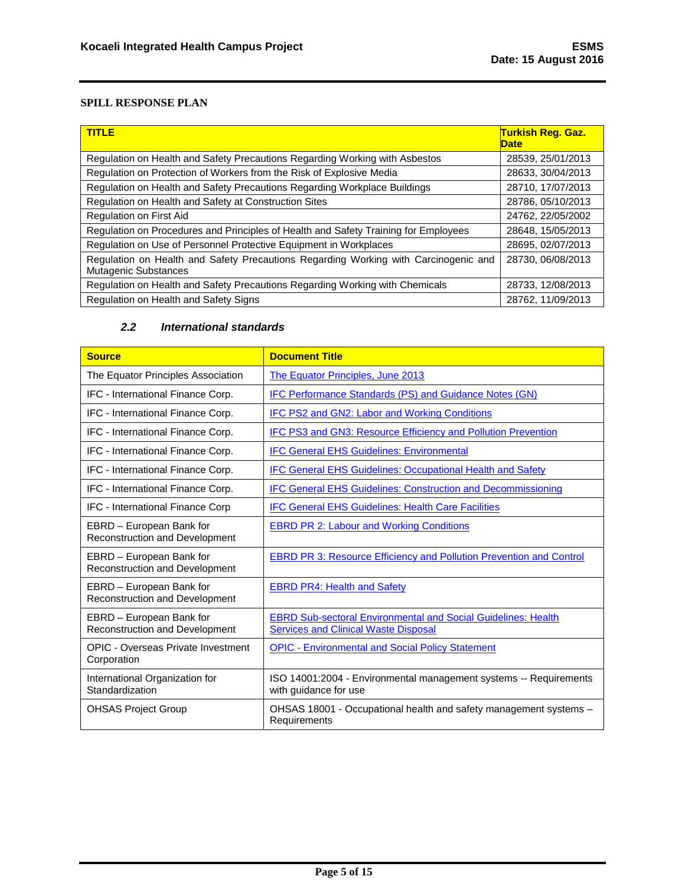| <b>TITLE</b>                                                                                                       | Turkish Reg. Gaz.<br>Date |
|--------------------------------------------------------------------------------------------------------------------|---------------------------|
| Regulation on Health and Safety Precautions Regarding Working with Asbestos                                        | 28539, 25/01/2013         |
| Regulation on Protection of Workers from the Risk of Explosive Media                                               | 28633, 30/04/2013         |
| Regulation on Health and Safety Precautions Regarding Workplace Buildings                                          | 28710, 17/07/2013         |
| Regulation on Health and Safety at Construction Sites                                                              | 28786, 05/10/2013         |
| <b>Regulation on First Aid</b>                                                                                     | 24762, 22/05/2002         |
| Regulation on Procedures and Principles of Health and Safety Training for Employees                                | 28648, 15/05/2013         |
| Regulation on Use of Personnel Protective Equipment in Workplaces                                                  | 28695, 02/07/2013         |
| Regulation on Health and Safety Precautions Regarding Working with Carcinogenic and<br><b>Mutagenic Substances</b> | 28730, 06/08/2013         |
| Regulation on Health and Safety Precautions Regarding Working with Chemicals                                       | 28733, 12/08/2013         |
| Regulation on Health and Safety Signs                                                                              | 28762, 11/09/2013         |

### *2.2 International standards*

<span id="page-5-0"></span>

| <b>Source</b>                                                     | <b>Document Title</b>                                                                                               |  |  |  |  |
|-------------------------------------------------------------------|---------------------------------------------------------------------------------------------------------------------|--|--|--|--|
| The Equator Principles Association                                | The Equator Principles, June 2013                                                                                   |  |  |  |  |
| IFC - International Finance Corp.                                 | IFC Performance Standards (PS) and Guidance Notes (GN)                                                              |  |  |  |  |
| IFC - International Finance Corp.                                 | <b>IFC PS2 and GN2: Labor and Working Conditions</b>                                                                |  |  |  |  |
| IFC - International Finance Corp.                                 | IFC PS3 and GN3: Resource Efficiency and Pollution Prevention                                                       |  |  |  |  |
| IFC - International Finance Corp.                                 | <b>IFC General EHS Guidelines: Environmental</b>                                                                    |  |  |  |  |
| IFC - International Finance Corp.                                 | <b>IFC General EHS Guidelines: Occupational Health and Safety</b>                                                   |  |  |  |  |
| IFC - International Finance Corp.                                 | <b>IFC General EHS Guidelines: Construction and Decommissioning</b>                                                 |  |  |  |  |
| IFC - International Finance Corp                                  | <b>IFC General EHS Guidelines: Health Care Facilities</b>                                                           |  |  |  |  |
| EBRD - European Bank for<br><b>Reconstruction and Development</b> | <b>EBRD PR 2: Labour and Working Conditions</b>                                                                     |  |  |  |  |
| EBRD - European Bank for<br>Reconstruction and Development        | <b>EBRD PR 3: Resource Efficiency and Pollution Prevention and Control</b>                                          |  |  |  |  |
| EBRD - European Bank for<br>Reconstruction and Development        | <b>EBRD PR4: Health and Safety</b>                                                                                  |  |  |  |  |
| EBRD - European Bank for<br>Reconstruction and Development        | <b>EBRD Sub-sectoral Environmental and Social Guidelines: Health</b><br><b>Services and Clinical Waste Disposal</b> |  |  |  |  |
| <b>OPIC - Overseas Private Investment</b><br>Corporation          | <b>OPIC - Environmental and Social Policy Statement</b>                                                             |  |  |  |  |
| International Organization for<br>Standardization                 | ISO 14001:2004 - Environmental management systems -- Requirements<br>with guidance for use                          |  |  |  |  |
| <b>OHSAS Project Group</b>                                        | OHSAS 18001 - Occupational health and safety management systems -<br>Requirements                                   |  |  |  |  |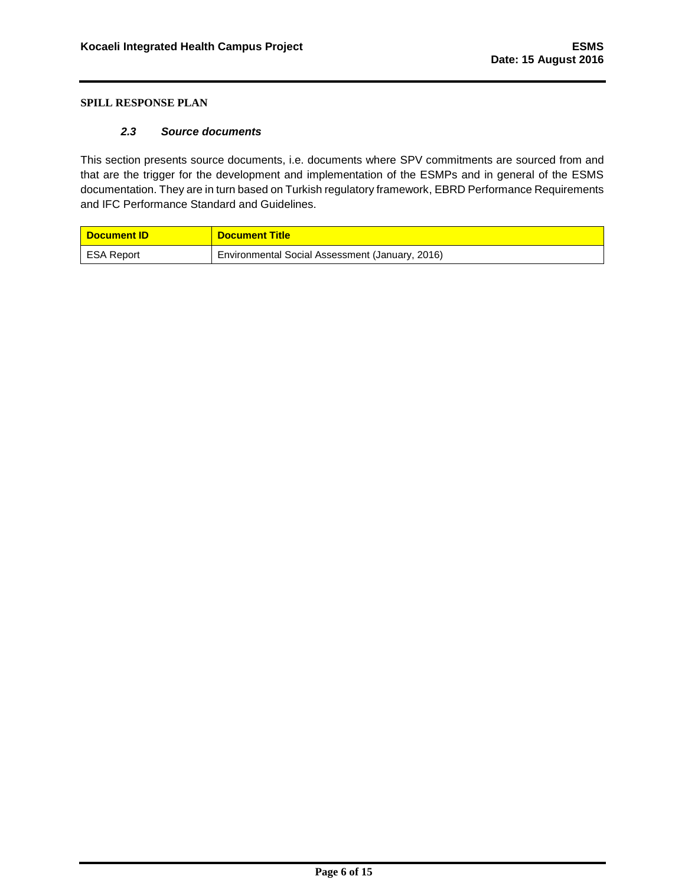#### *2.3 Source documents*

<span id="page-6-0"></span>This section presents source documents, i.e. documents where SPV commitments are sourced from and that are the trigger for the development and implementation of the ESMPs and in general of the ESMS documentation. They are in turn based on Turkish regulatory framework, EBRD Performance Requirements and IFC Performance Standard and Guidelines.

| <mark>∣ Document ID∶</mark> | <b>Document Title</b>                           |
|-----------------------------|-------------------------------------------------|
| ESA Report                  | Environmental Social Assessment (January, 2016) |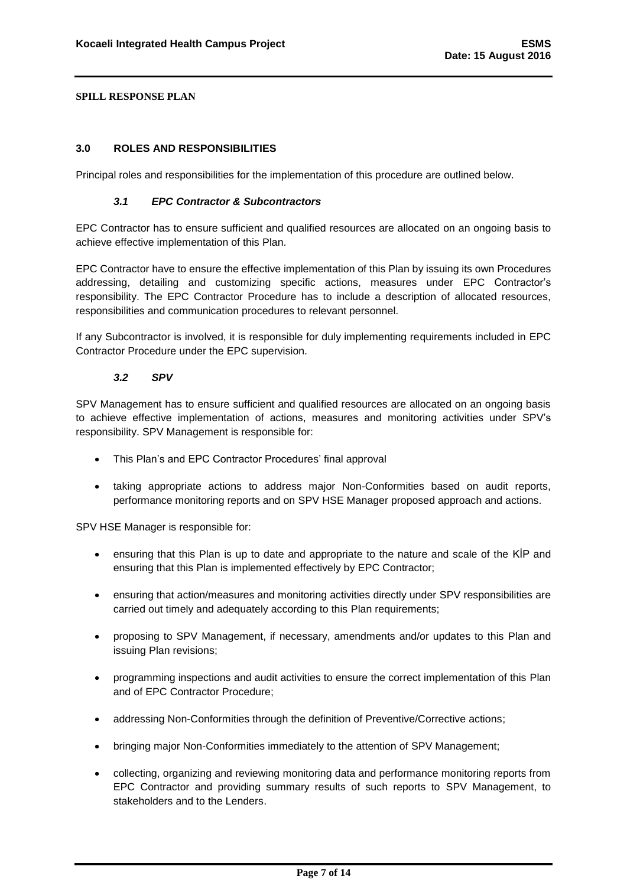### <span id="page-7-1"></span><span id="page-7-0"></span>**3.0 ROLES AND RESPONSIBILITIES**

Principal roles and responsibilities for the implementation of this procedure are outlined below.

### *3.1 EPC Contractor & Subcontractors*

EPC Contractor has to ensure sufficient and qualified resources are allocated on an ongoing basis to achieve effective implementation of this Plan.

EPC Contractor have to ensure the effective implementation of this Plan by issuing its own Procedures addressing, detailing and customizing specific actions, measures under EPC Contractor's responsibility. The EPC Contractor Procedure has to include a description of allocated resources, responsibilities and communication procedures to relevant personnel.

<span id="page-7-2"></span>If any Subcontractor is involved, it is responsible for duly implementing requirements included in EPC Contractor Procedure under the EPC supervision.

### *3.2 SPV*

SPV Management has to ensure sufficient and qualified resources are allocated on an ongoing basis to achieve effective implementation of actions, measures and monitoring activities under SPV's responsibility. SPV Management is responsible for:

- This Plan's and EPC Contractor Procedures' final approval
- taking appropriate actions to address major Non-Conformities based on audit reports, performance monitoring reports and on SPV HSE Manager proposed approach and actions.

SPV HSE Manager is responsible for:

- ensuring that this Plan is up to date and appropriate to the nature and scale of the KİP and ensuring that this Plan is implemented effectively by EPC Contractor;
- ensuring that action/measures and monitoring activities directly under SPV responsibilities are carried out timely and adequately according to this Plan requirements;
- proposing to SPV Management, if necessary, amendments and/or updates to this Plan and issuing Plan revisions;
- programming inspections and audit activities to ensure the correct implementation of this Plan and of EPC Contractor Procedure;
- addressing Non-Conformities through the definition of Preventive/Corrective actions;
- bringing major Non-Conformities immediately to the attention of SPV Management;
- collecting, organizing and reviewing monitoring data and performance monitoring reports from EPC Contractor and providing summary results of such reports to SPV Management, to stakeholders and to the Lenders.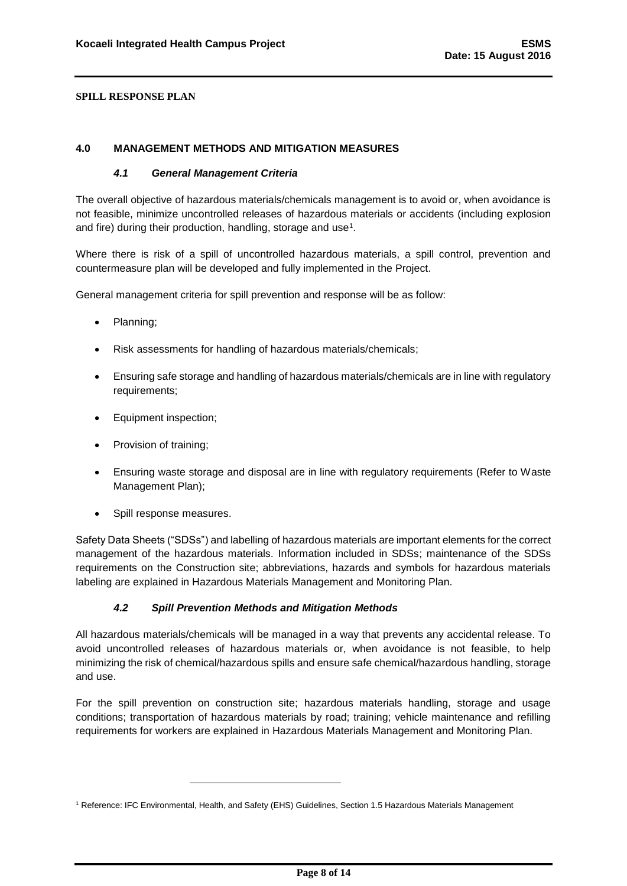### <span id="page-8-1"></span><span id="page-8-0"></span>**4.0 MANAGEMENT METHODS AND MITIGATION MEASURES**

### *4.1 General Management Criteria*

The overall objective of hazardous materials/chemicals management is to avoid or, when avoidance is not feasible, minimize uncontrolled releases of hazardous materials or accidents (including explosion and fire) during their production, handling, storage and use<sup>1</sup>.

Where there is risk of a spill of uncontrolled hazardous materials, a spill control, prevention and countermeasure plan will be developed and fully implemented in the Project.

General management criteria for spill prevention and response will be as follow:

- Planning;
- Risk assessments for handling of hazardous materials/chemicals;
- Ensuring safe storage and handling of hazardous materials/chemicals are in line with regulatory requirements;
- Equipment inspection;
- Provision of training;
- Ensuring waste storage and disposal are in line with regulatory requirements (Refer to Waste Management Plan);
- Spill response measures.

-

<span id="page-8-2"></span>Safety Data Sheets ("SDSs") and labelling of hazardous materials are important elements for the correct management of the hazardous materials. Information included in SDSs; maintenance of the SDSs requirements on the Construction site; abbreviations, hazards and symbols for hazardous materials labeling are explained in Hazardous Materials Management and Monitoring Plan.

### *4.2 Spill Prevention Methods and Mitigation Methods*

All hazardous materials/chemicals will be managed in a way that prevents any accidental release. To avoid uncontrolled releases of hazardous materials or, when avoidance is not feasible, to help minimizing the risk of chemical/hazardous spills and ensure safe chemical/hazardous handling, storage and use.

For the spill prevention on construction site; hazardous materials handling, storage and usage conditions; transportation of hazardous materials by road; training; vehicle maintenance and refilling requirements for workers are explained in Hazardous Materials Management and Monitoring Plan.

<sup>1</sup> Reference: IFC Environmental, Health, and Safety (EHS) Guidelines, Section 1.5 Hazardous Materials Management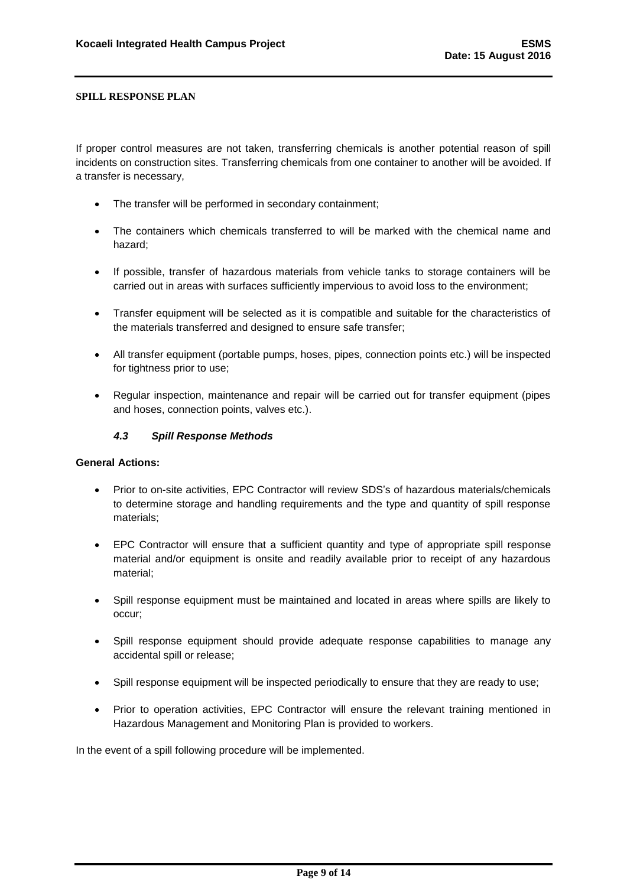If proper control measures are not taken, transferring chemicals is another potential reason of spill incidents on construction sites. Transferring chemicals from one container to another will be avoided. If a transfer is necessary,

- The transfer will be performed in secondary containment;
- The containers which chemicals transferred to will be marked with the chemical name and hazard;
- If possible, transfer of hazardous materials from vehicle tanks to storage containers will be carried out in areas with surfaces sufficiently impervious to avoid loss to the environment;
- Transfer equipment will be selected as it is compatible and suitable for the characteristics of the materials transferred and designed to ensure safe transfer;
- All transfer equipment (portable pumps, hoses, pipes, connection points etc.) will be inspected for tightness prior to use;
- <span id="page-9-0"></span> Regular inspection, maintenance and repair will be carried out for transfer equipment (pipes and hoses, connection points, valves etc.).

### *4.3 Spill Response Methods*

### **General Actions:**

- Prior to on-site activities, EPC Contractor will review SDS's of hazardous materials/chemicals to determine storage and handling requirements and the type and quantity of spill response materials;
- EPC Contractor will ensure that a sufficient quantity and type of appropriate spill response material and/or equipment is onsite and readily available prior to receipt of any hazardous material;
- Spill response equipment must be maintained and located in areas where spills are likely to occur;
- Spill response equipment should provide adequate response capabilities to manage any accidental spill or release;
- Spill response equipment will be inspected periodically to ensure that they are ready to use;
- Prior to operation activities, EPC Contractor will ensure the relevant training mentioned in Hazardous Management and Monitoring Plan is provided to workers.

In the event of a spill following procedure will be implemented.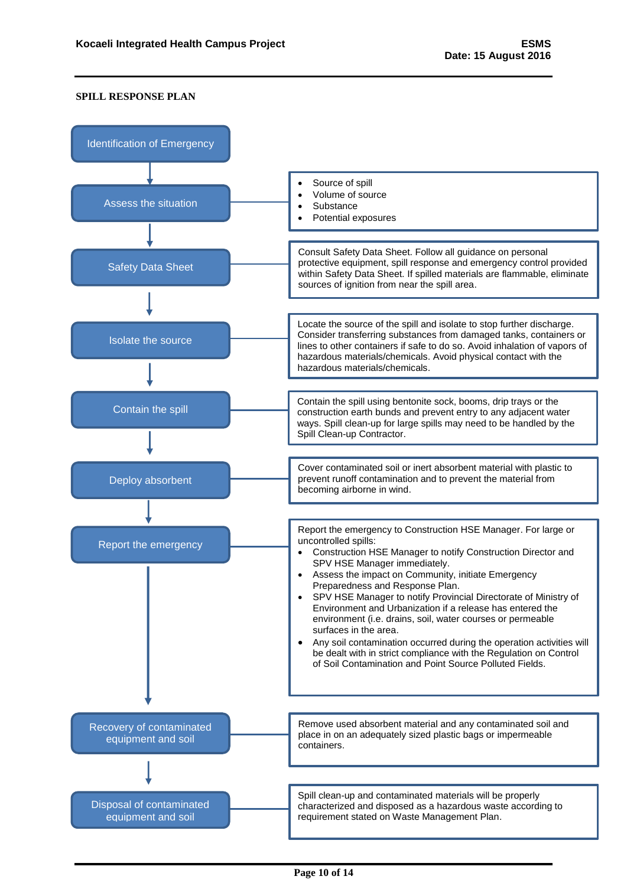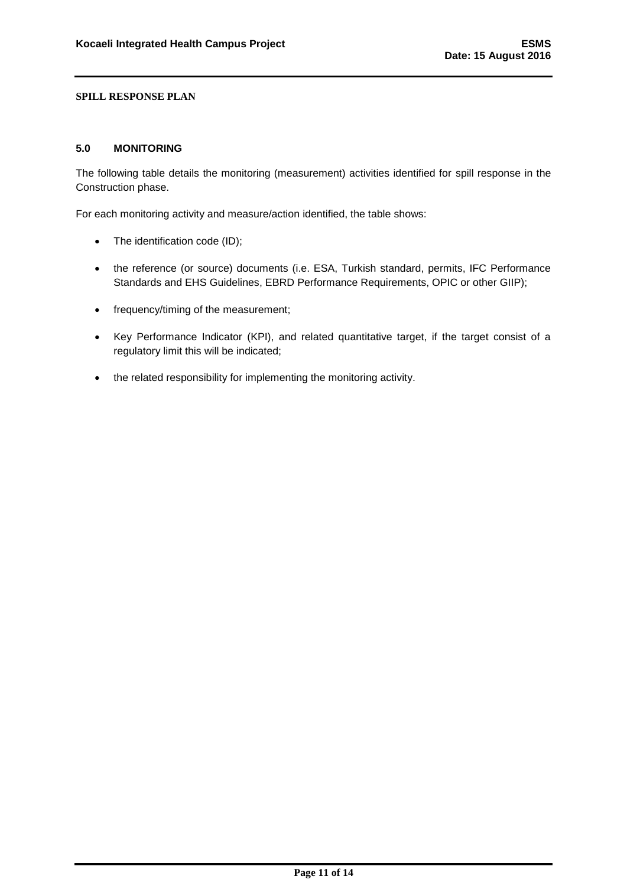### <span id="page-11-0"></span>**5.0 MONITORING**

The following table details the monitoring (measurement) activities identified for spill response in the Construction phase.

For each monitoring activity and measure/action identified, the table shows:

- The identification code (ID);
- the reference (or source) documents (i.e. ESA, Turkish standard, permits, IFC Performance Standards and EHS Guidelines, EBRD Performance Requirements, OPIC or other GIIP);
- frequency/timing of the measurement;
- Key Performance Indicator (KPI), and related quantitative target, if the target consist of a regulatory limit this will be indicated;
- the related responsibility for implementing the monitoring activity.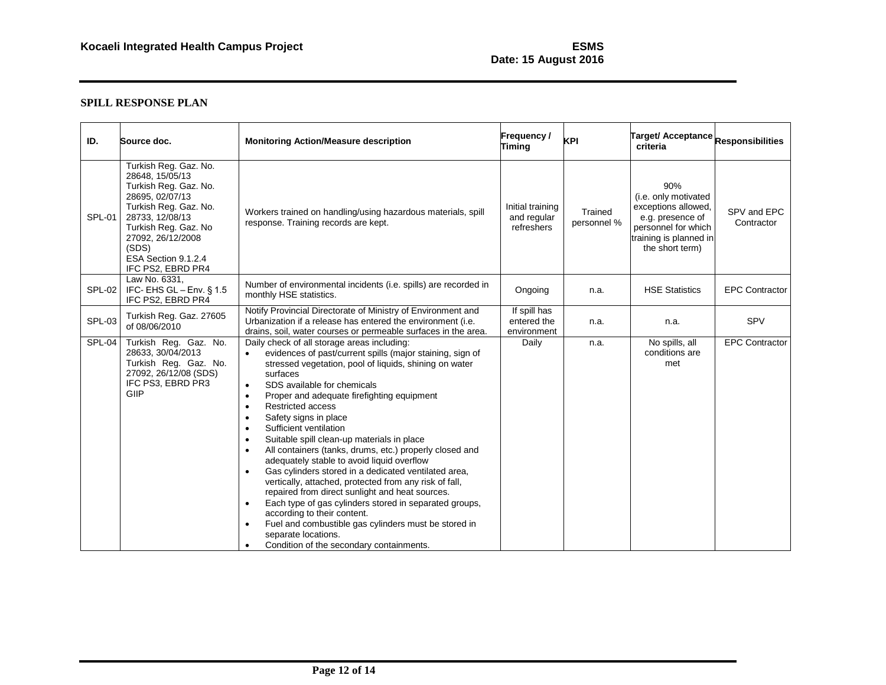| ID.           | Source doc.                                                                                                                                                                                                                       | <b>Monitoring Action/Measure description</b>                                                                                                                                                                                                                                                                                                                                                                                                                                                                                                                                                                                                                                                                                                                                                                                                                                                                                                                                                                                 | Frequency/<br><b>Timing</b>                   | <b>KPI</b>             | Target/ Acceptance Responsibilities<br>criteria                                                                                            |                           |
|---------------|-----------------------------------------------------------------------------------------------------------------------------------------------------------------------------------------------------------------------------------|------------------------------------------------------------------------------------------------------------------------------------------------------------------------------------------------------------------------------------------------------------------------------------------------------------------------------------------------------------------------------------------------------------------------------------------------------------------------------------------------------------------------------------------------------------------------------------------------------------------------------------------------------------------------------------------------------------------------------------------------------------------------------------------------------------------------------------------------------------------------------------------------------------------------------------------------------------------------------------------------------------------------------|-----------------------------------------------|------------------------|--------------------------------------------------------------------------------------------------------------------------------------------|---------------------------|
| SPL-01        | Turkish Reg. Gaz. No.<br>28648. 15/05/13<br>Turkish Reg. Gaz. No.<br>28695, 02/07/13<br>Turkish Reg. Gaz. No.<br>28733, 12/08/13<br>Turkish Reg. Gaz. No<br>27092.26/12/2008<br>(SDS)<br>ESA Section 9.1.2.4<br>IFC PS2, EBRD PR4 | Workers trained on handling/using hazardous materials, spill<br>response. Training records are kept.                                                                                                                                                                                                                                                                                                                                                                                                                                                                                                                                                                                                                                                                                                                                                                                                                                                                                                                         | Initial training<br>and regular<br>refreshers | Trained<br>personnel % | 90%<br>(i.e. only motivated<br>exceptions allowed,<br>e.g. presence of<br>personnel for which<br>training is planned in<br>the short term) | SPV and EPC<br>Contractor |
| SPL-02        | Law No. 6331,<br>IFC-EHS GL-Env. § 1.5<br>IFC PS2, EBRD PR4                                                                                                                                                                       | Number of environmental incidents (i.e. spills) are recorded in<br>monthly HSE statistics.                                                                                                                                                                                                                                                                                                                                                                                                                                                                                                                                                                                                                                                                                                                                                                                                                                                                                                                                   | Ongoing                                       | n.a.                   | <b>HSE Statistics</b>                                                                                                                      | <b>EPC Contractor</b>     |
| <b>SPL-03</b> | Turkish Reg. Gaz. 27605<br>of 08/06/2010                                                                                                                                                                                          | Notify Provincial Directorate of Ministry of Environment and<br>Urbanization if a release has entered the environment (i.e.<br>drains, soil, water courses or permeable surfaces in the area.                                                                                                                                                                                                                                                                                                                                                                                                                                                                                                                                                                                                                                                                                                                                                                                                                                | If spill has<br>entered the<br>environment    | n.a.                   | n.a.                                                                                                                                       | SPV                       |
| SPL-04        | Turkish Reg. Gaz. No.<br>28633, 30/04/2013<br>Turkish Reg. Gaz. No.<br>27092, 26/12/08 (SDS)<br>IFC PS3, EBRD PR3<br>GIIP                                                                                                         | Daily check of all storage areas including:<br>evidences of past/current spills (major staining, sign of<br>$\bullet$<br>stressed vegetation, pool of liquids, shining on water<br>surfaces<br>SDS available for chemicals<br>$\bullet$<br>Proper and adequate firefighting equipment<br>$\bullet$<br><b>Restricted access</b><br>$\bullet$<br>Safety signs in place<br>Sufficient ventilation<br>$\bullet$<br>Suitable spill clean-up materials in place<br>$\bullet$<br>All containers (tanks, drums, etc.) properly closed and<br>$\bullet$<br>adequately stable to avoid liquid overflow<br>Gas cylinders stored in a dedicated ventilated area,<br>vertically, attached, protected from any risk of fall,<br>repaired from direct sunlight and heat sources.<br>Each type of gas cylinders stored in separated groups,<br>$\bullet$<br>according to their content.<br>Fuel and combustible gas cylinders must be stored in<br>$\bullet$<br>separate locations.<br>Condition of the secondary containments.<br>$\bullet$ | <b>Daily</b>                                  | n.a.                   | No spills, all<br>conditions are<br>met                                                                                                    | <b>EPC Contractor</b>     |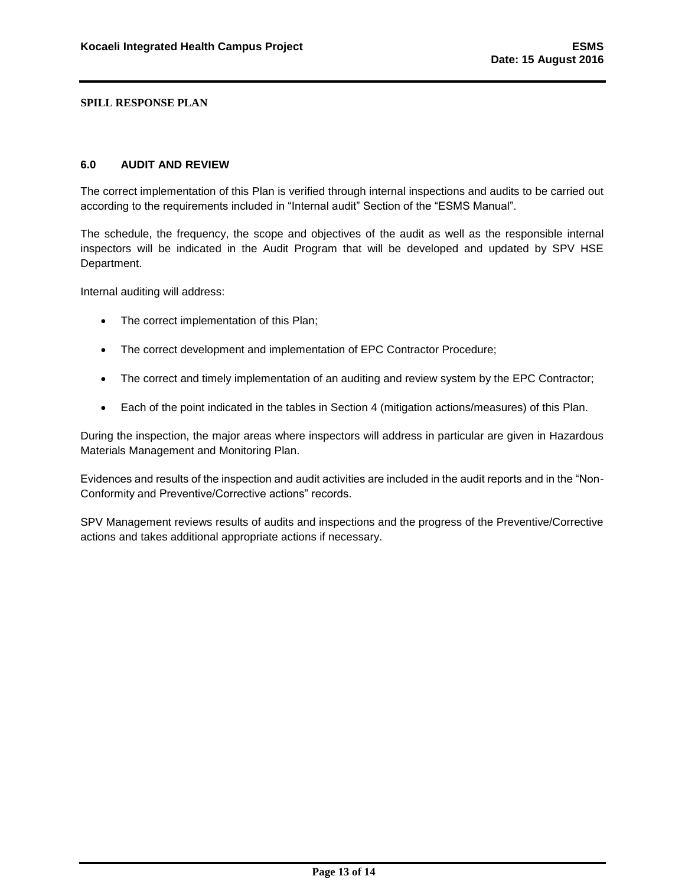#### <span id="page-13-0"></span>**6.0 AUDIT AND REVIEW**

The correct implementation of this Plan is verified through internal inspections and audits to be carried out according to the requirements included in "Internal audit" Section of the "ESMS Manual".

The schedule, the frequency, the scope and objectives of the audit as well as the responsible internal inspectors will be indicated in the Audit Program that will be developed and updated by SPV HSE Department.

Internal auditing will address:

- The correct implementation of this Plan;
- The correct development and implementation of EPC Contractor Procedure;
- The correct and timely implementation of an auditing and review system by the EPC Contractor;
- Each of the point indicated in the tables in Section 4 (mitigation actions/measures) of this Plan.

During the inspection, the major areas where inspectors will address in particular are given in Hazardous Materials Management and Monitoring Plan.

Evidences and results of the inspection and audit activities are included in the audit reports and in the "Non-Conformity and Preventive/Corrective actions" records.

SPV Management reviews results of audits and inspections and the progress of the Preventive/Corrective actions and takes additional appropriate actions if necessary.